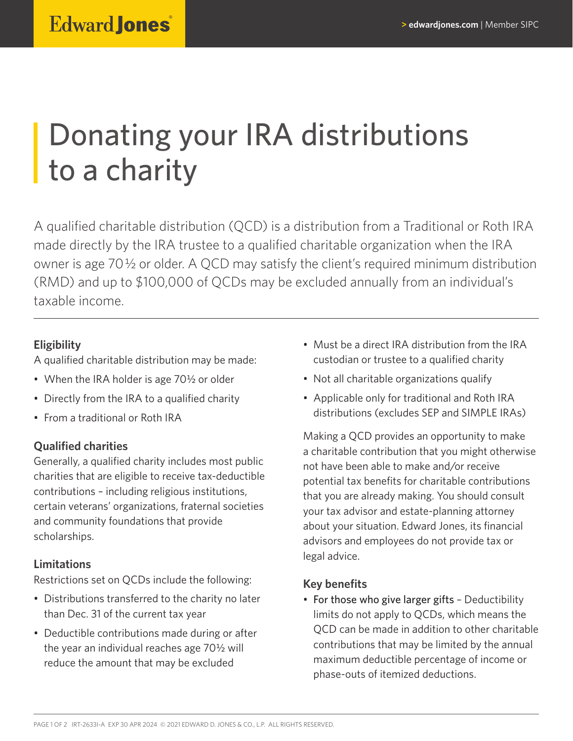# Donating your IRA distributions to a charity

A qualified charitable distribution (QCD) is a distribution from a Traditional or Roth IRA made directly by the IRA trustee to a qualified charitable organization when the IRA owner is age 70½ or older. A QCD may satisfy the client's required minimum distribution (RMD) and up to \$100,000 of QCDs may be excluded annually from an individual's taxable income.

### **Eligibility**

A qualified charitable distribution may be made:

- When the IRA holder is age 70<sup>1</sup>/<sub>2</sub> or older
- Directly from the IRA to a qualified charity
- From a traditional or Roth IRA

### **Qualified charities**

Generally, a qualified charity includes most public charities that are eligible to receive tax-deductible contributions – including religious institutions, certain veterans' organizations, fraternal societies and community foundations that provide scholarships.

### **Limitations**

Restrictions set on QCDs include the following:

- Distributions transferred to the charity no later than Dec. 31 of the current tax year
- Deductible contributions made during or after the year an individual reaches age 70½ will reduce the amount that may be excluded
- Must be a direct IRA distribution from the IRA custodian or trustee to a qualified charity
- Not all charitable organizations qualify
- Applicable only for traditional and Roth IRA distributions (excludes SEP and SIMPLE IRAs)

Making a QCD provides an opportunity to make a charitable contribution that you might otherwise not have been able to make and/or receive potential tax benefits for charitable contributions that you are already making. You should consult your tax advisor and estate-planning attorney about your situation. Edward Jones, its financial advisors and employees do not provide tax or legal advice.

### **Key benefits**

• For those who give larger gifts – Deductibility limits do not apply to QCDs, which means the QCD can be made in addition to other charitable contributions that may be limited by the annual maximum deductible percentage of income or phase-outs of itemized deductions.